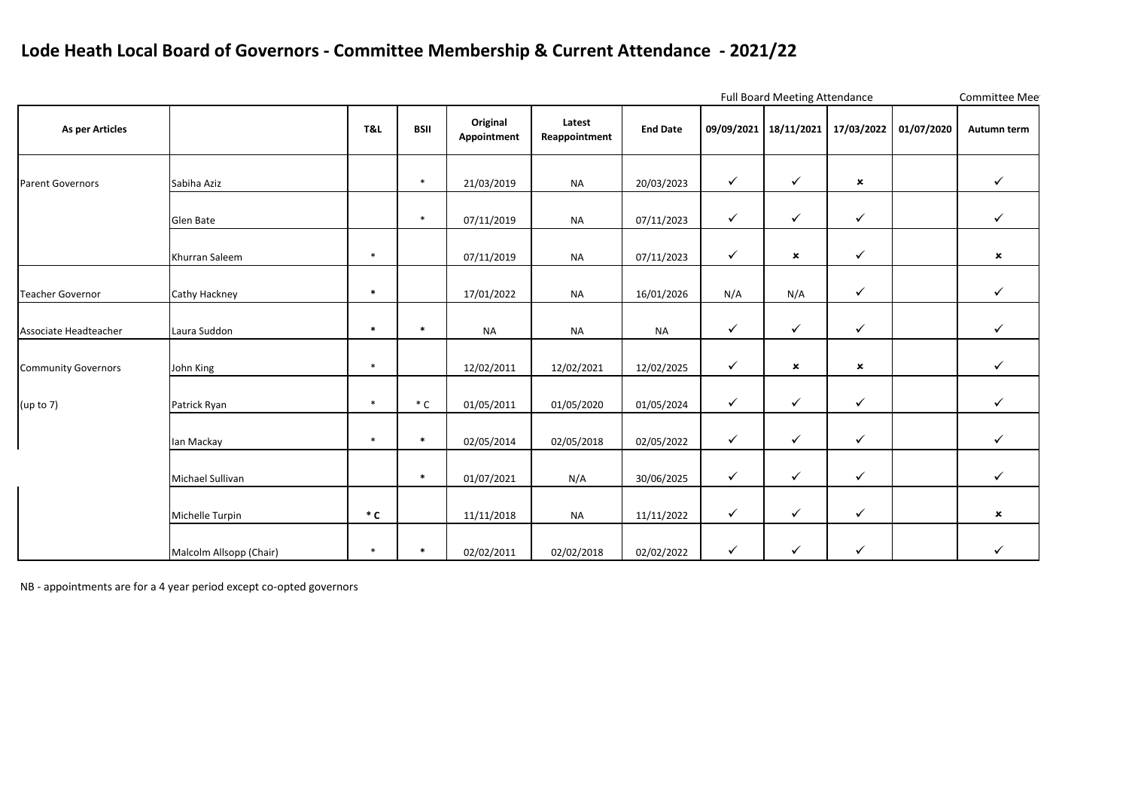## **Lode Heath Local Board of Governors - Committee Membership & Current Attendance - 2021/22**

|                            |                         |          |             |                         |                         | Full Board Meeting Attendance |              |                           |                           |            | Committee Mee             |
|----------------------------|-------------------------|----------|-------------|-------------------------|-------------------------|-------------------------------|--------------|---------------------------|---------------------------|------------|---------------------------|
| As per Articles            |                         | T&L      | <b>BSII</b> | Original<br>Appointment | Latest<br>Reappointment | <b>End Date</b>               | 09/09/2021   | 18/11/2021                | 17/03/2022                | 01/07/2020 | Autumn term               |
| <b>Parent Governors</b>    | Sabiha Aziz             |          | $\ast$      | 21/03/2019              | <b>NA</b>               | 20/03/2023                    | $\checkmark$ | $\checkmark$              | $\boldsymbol{\mathsf{x}}$ |            | $\checkmark$              |
|                            | Glen Bate               |          | $\ast$      | 07/11/2019              | <b>NA</b>               | 07/11/2023                    | $\checkmark$ | $\checkmark$              | $\checkmark$              |            | $\checkmark$              |
|                            | Khurran Saleem          | $\ast$   |             | 07/11/2019              | <b>NA</b>               | 07/11/2023                    | $\checkmark$ | $\boldsymbol{\mathsf{x}}$ | $\checkmark$              |            | $\boldsymbol{\mathsf{x}}$ |
| <b>Teacher Governor</b>    | Cathy Hackney           | $\ast$   |             | 17/01/2022              | <b>NA</b>               | 16/01/2026                    | N/A          | N/A                       | $\checkmark$              |            | $\checkmark$              |
| Associate Headteacher      | Laura Suddon            | $\ast$   | $\ast$      | <b>NA</b>               | <b>NA</b>               | <b>NA</b>                     | $\checkmark$ | $\checkmark$              | $\checkmark$              |            | $\checkmark$              |
| <b>Community Governors</b> | John King               | $\ast$   |             | 12/02/2011              | 12/02/2021              | 12/02/2025                    | $\checkmark$ | $\pmb{\times}$            | $\pmb{\times}$            |            | $\checkmark$              |
| (up to 7)                  | Patrick Ryan            | $\ast$   | $^\ast$ C   | 01/05/2011              | 01/05/2020              | 01/05/2024                    | $\checkmark$ | $\checkmark$              | $\checkmark$              |            | $\checkmark$              |
|                            | lan Mackay              | $\ast$   | $\ast$      | 02/05/2014              | 02/05/2018              | 02/05/2022                    | $\checkmark$ | $\checkmark$              | $\checkmark$              |            | $\checkmark$              |
|                            | Michael Sullivan        |          | $\ast$      | 01/07/2021              | N/A                     | 30/06/2025                    | $\checkmark$ | $\checkmark$              | $\checkmark$              |            | $\checkmark$              |
|                            | Michelle Turpin         | $\ast$ C |             | 11/11/2018              | <b>NA</b>               | 11/11/2022                    | $\checkmark$ | $\checkmark$              | $\checkmark$              |            | $\boldsymbol{\mathsf{x}}$ |
|                            | Malcolm Allsopp (Chair) | $*$      | $\ast$      | 02/02/2011              | 02/02/2018              | 02/02/2022                    | $\checkmark$ | $\checkmark$              | $\checkmark$              |            | $\checkmark$              |

NB - appointments are for a 4 year period except co-opted governors